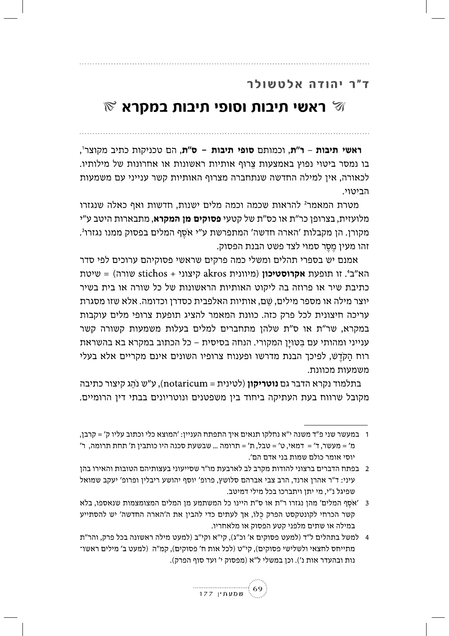## ד"ר יהודה אלטשולר

## $\mathbb R$  ראשי תיבות וסופי תיבות במקרא  $\mathbb R$

**ראשי תיבות – ר"ת**, וכמותם **סופי תיבות - ס"ת**, הם טכניקות כתיב מקוצר", בו נמסר ביטוי נפוץ באמצעות צרוף אותיות ראשונות או אחרונות של מילותיו. לכאורה, אין למילה החדשה שנתחברה מצרוף האותיות קשר ענייני עם משמעות הביטוי.

מטרת המאמר<sup>2</sup> להראות שכמה וכמה מלים ישנות. חדשות ואף כאלה שנגזרו מלועזית, בצרופן כר"ת או כס"ת של קטעי **פסוקים מן המקרא**, מתבארות היטב ע"י מקורן. הן מקבלות 'הארה חדשה' המתפרשת ע"י אסף המלים בפסוק ממנו נגזרו<sup>3</sup>. זהו מעין מֵסֵר סמוי לצד פשט הבנת הפסוק.

אמנם יש בספרי תהלים ומשלי כמה פרקים שראשי פסוקיהם ערוכים לפי סדר שורה) = שיטת stichos + הא"ב<sup>4</sup>. זו תופעת א**קרוסטיכון** (מיוונית akros קיצוני כתיבת שיר או פרוזה בה ליקוט האותיות הראשונות של כל שורה או בית בשיר יוצר מילה או מספר מילים, שם, אותיות האלפבית כסדרן וכדומה. אלא שזו מסגרת עריכה חיצונית לכל פרק כזה. כוונת המאמר להציג תופעת צרופי מלים עוקבות במקרא, שר"ת או ס"ת שלהן מתחברים למלים בעלות משמעות קשורה קשר ענייני ומהותי עם בַּטוּין המקורי. הנחה בסיסית – כל הכתוב במקרא בא בהשראת רוח הקדש, לפיכך הבנת מדרשו ופענוח צרופיו השונים אינם מקריים אלא בעלי משמעות מכוונת.

בתלמוד נקרא הדבר גם **נוטריקון** (לטינית = notaricum), ע״ש נֹ<u>ה</u>ְג קיצור כתיבה מקובל שרווח בעת העתיקה ביחוד בין משפטנים ונוטריונים בבתי דין הרומיים.

<sup>4</sup> למשל בתהלים ל"ד (למעט פסוקים א' וכ"ג), קי"א וקי"ב (למעט מילה ראשונה בכל פרק, והר"ת מתייחס לחצאי ולשלישי פסוקים), קי"ט (לכל אות ח' פסוקים), קמ"ה (למעט ב' מילים ראשו־ נות ובהעדר אות נ'). וכן במשלי ל"א (מפסוק י' ועד סוף הפרק).



<sup>1 –</sup> במעשר שני פ״ד משנה י״א נחלקו תנאים איך התפתח העניין: ׳המוצא כלי וכתוב עליו ק׳ = קרבן, מ' = מעשר, ד' = דמאי, ט' = טבל, ת' = תרומה ... שבשעת סכנה היו כותבין ת' תחת תרומה, ר' יוסי אומר כולם שמות בני אדם הם׳.

<sup>2 –</sup> בפתח הדברים ברצוני להודות מקרב לב לארבעת מו"ר שסייעוני בעצותיהם הטובות והאירו בהן עיני: ד"ר אהרן ארנד, הרב צבי אברהם סלושץ, פרופ' יוסף יהושע ריבלין ופרופ' יעקב שמואל שפיגל נ"י, מי יתן ויתברכו בכל מילי דמיטב.

אסף המלים' מהן נגזרו ר"ת או ס"ת היינו כל המשתמע מן המלים המצומצמות שנאספו, בלא "אסף המלים קשר הכרחי לקונטקסט הפרק כֵּלוֹ, אך לעתים כדי להבין את ה'הארה החדשה' יש להסתייע במילה או שתים מלפני קטע הפסוק או מלאחריו.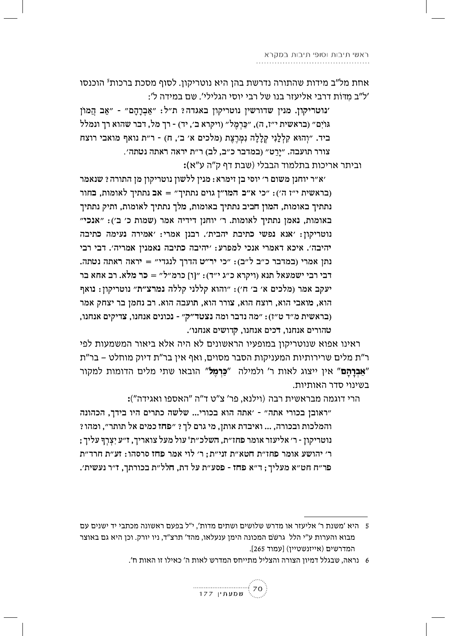אחת מל"ב מידות שהתורה נדרשת בהן היא נוטריקון. לסוף מסכת ברכות<sup>5</sup> הוכנסו ׳ל״ב מדּוֹת דרבי אליעזר בנו של רבי יוסי הגלילי׳. שם במידה ל׳:

'נוטריקון. מנין שדורשין נוטריקון באגדה? ת"ל: "אַבְרַהֵם" - "אַב הֲמוֹן גּוֹיִם" (בראשית י"ז, ה), "כַּרְמֵל" (ויקרא ב׳, יד) - רך מל, דבר שהוא רך ונמלל ביד. "וָהוּא קַלְלַנִי קִלַלַה נִמְרֵצֵת (מלכים א׳ ב׳, ח) - ר״ת נואף מואבי רוצח צורר תועבה. ״יַרַט״ (במדבר כ״ב, לב) ר״ת יראה ראתה נטתה׳.

וביתר אריכות בתלמוד הבבלי (שבת דף ק"ה ע"א):

׳א״ר יוחנן משום ר׳ יוסי בן זימרא: מנין ללשון נוטריקון מן התורה ? שנאמר ובראשית י"ז ה'): "כי א"ב המו"ן גוים נתתיך" = אב נתתיך לאומות, בחור נתתיך באומות, המון חביב נתתיך באומות, מלך נתתיך לאומות, ותיק נתתיך באומות, נאמן נתתיך לאומות. ר׳ יוחנן דידיה אמר (שמות כ׳ ב׳): "אנכי" נוטריקון: 'אנא נפשי כתיבת יהבית'. רבנן אמרי: 'אמירה נעימה כתיבה יהיבה׳. איכא דאמרי אנכי למפרע: ׳יהיבה כתיבה נאמנין אמריה׳. דבי רבי נתן אמרי (במדבר כ״ב ל״ב): "כי יר״ט הדרך לנגדי" = יראה ראתה נטתה. דבי רבי ישמעאל תנא (ויקרא כ"ג י"ד): "ןוּ] כרמ"ל" = כר מלא. רב אחא בר יעקב אמר (מלכים א׳ ב׳ ח׳): "והוא קללני קללה נמרצ"ת" נוטריקון: נואף הוא, מואבי הוא, רוצח הוא, צורר הוא, תועבה הוא. רב נחמן בר יצחק אמר (בראשית מ״ד ט״ז): "מה נדבר ומה נצטד״ק״ - נכונים אנחנו, צדיקים אנחנו, טהורים אנחנו, דכים אנחנו, קדושים אנחנו׳.

ראינו אפוא שנוטריקון במופעיו הראשונים לא היה אלא ביאור המשמעות לפי ר"ת מלים שרירותיות המעניקות הסבר מסוים, ואף אין בר"ת דיוק מוחלט – בר"ת "**אברהם**" אין ייצוג לאות ר' ולמילה "**כּרמל**" הובאו שתי מלים הדומות למקור בשינוי סדר האותיות.

:הרי דוגמה מבראשית רבה (וילנא, פר' צ"ט ד"ה "האספו ואגידה")

"ראובן בכורי אתה" - 'אתה הוא בכורי... שלשה כתרים היו בידך, הכהונה והמלכות ובכורה, ... ואיבדת אותן, מי גרם לך ? ״פחז כמים אל תותר״, ומהו ? ; נוטריקון - ר׳ אליעזר אומר פחז״ת, השלכ״ת' עול מעל צואריך, ז״ע יִצְרֶךְ עליך ר׳ יהושע אומר פחז״ת חטא״ת זני״ת; ר׳ לוי אמר פחז סרסהו: זע״ת חרד״ת פר״ח חט״א מעליך; ד״א פחז - פסע״ת על דת, חלל״ת בכורתך, ז״ר נעשית׳.

<sup>6</sup> נראה. שבגלל דמיוז הצורה והצליל מתייחס המדרש לאות ה' כאילו זו האות ח'.



<sup>5 –</sup> היא 'משנת ר' אליעזר או מדרש שלושים ושתים מדות'. י"ל בפעם ראשונה מכתבי יד ישנים עם מבוא והערות ע"י הלל גרשם המכונה הימן ענעלאו, מהד' תרצ"ד, ניו יורק. וכן היא גם באוצר המדרשים (אייזנשטיין) [עמוד 265].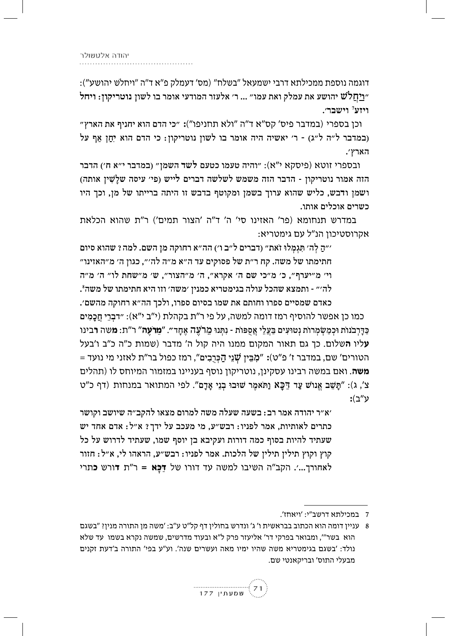יהודה אלטשולר

דוגמה נוספת ממכילתא דרבי ישמעאל "בשלח" (מס' דעמלק פ"א ד"ה "ויחלש יהושע"): ״ויחלֹש יהושע את עמלק ואת עמו״ ... ר׳ אלעזר המודעי אומר בו לשון נוטריקון: ויחל ויזע<sup>7</sup> וישבר׳.

וכן בספרי (במדבר פיס׳ קס״א ד״ה ״ולא תחניפו״): ״כי הדם הוא יחניף את הארץ״ (במדבר ל״ה ל״ג) - ר׳ יאשיה היה אומר בו לשון נוטריקון: כי הדם הוא יְחַן אַף על הארץ׳.

ובספרי זוטא (פיסקא י"א): "והיה טעמו כטעם לשד השמן" (במדבר י"א ח') הדבר הזה אמור נוטריקון - הדבר הזה משמש לשלשה דברים לייש (פי׳ עיסה שלַשִׁין אותה) ושמן ודבש, כליש שהוא ערוך בשמן ומקוטף בדבש זו היתה ברייתו של מן, וכך היו כשרים אוכלים אותו.

במדרש תנחומא (פר' האזינו סי' ה' ד"ה 'הצור תמים') ר"ת שהוא הכלאת אקרוסטיכון הנ"ל עם גימטריא:

״הַ לְה׳ תְּגִמְלוּ זֹאת״ (דברים ל״ב ו׳) הה״א רחוקה מן השם. למה ? שהוא סיום חתימתו של משה. קח ר״ת של פסוקים עד ה״א מ״ה לה׳״, כגון ה׳ מ״האזינו״ וי' מ״יערף״, כ׳ מ״כי שם ה׳ אקרא״, ה׳ מ״הצור״, ש׳ מ״שחת לו״ ה׳ מ״ה לה׳״ - ותמצא שהכל עולה בגימטריא כמנין ׳משה׳ וזו היא חתימתו של משה ٌ.

כאדם שמסיים ספרו וחותם את שמו בסיום ספרו, ולכך הה״א רחוקה מהשם׳. כמו כן אפשר להוסיף רמז דומה למשה, על פי ר"ת בקהלת (י"ב י"א): "דבְרֵי חֲכָמִים כַּדַּרְבֹנוֹת וּכְמַשְׂמְרוֹת נְטוּעִים בַּעֲלֵי אֲסִפּוֹת - נִתְּנוּ מֵרֹעֵה אֶחָד״. "**מֵרֹעֶה**" ר"ת: **מ**שה **ר**בינו יליו השלום. כך גם תאור המקום ממנו היה קול ה' מדבר (שמות כ"ה כ"ב ו'בעל = הטורים' שם, במדבר ז' פ"ט): "מְבֵּין שָׁנֵי הַכְּרִבְים", רמז כפול בר"ת לאזני מי נועד **משה**. ואם במשה רבינו עסקינן, נוטריקון נוסף בעניינו במזמור המיוחס לו (תהלים צ׳, ג): "תַּשֶׁב אֱנוֹשׁ עַד דַכַּא וַתֹּאמֶר שׁוּבוּ בְנֵי אַדָם". לפי המתואר במנחות (דף כ"ט :ע"ב

׳א״ר יהודה אמר רב: בשעה שעלה משה למרום מצאו להקב״ה שיושב וקושר כתרים לאותיות, אמר לפניו: רבש״ע, מי מעכב על ידך? א״ל: אדם אחד יש שעתיד להיות בסוף כמה דורות ועקיבא בן יוסף שמו, שעתיד לדרוש על כל קוץ וקוץ תילין תילין של הלכות. אמר לפניו: רבש״ע, הראהו לי, א״ל: חזור לאחורך...'. הקב"ה השיבו למשה עד דורו של דַכַּא = ר"ת דורש כתרי

עניין דומה הוא הכתוב בבראשית ו' ג' ונדרש בחולין דף קל"ט ע"ב: 'משה מן התורה מנין? "בשגם  $8\,$ הוא בשר"', ומבואר בפרקי דר' אליעזר פרק ל"א ובעוד מדרשים, שמשה נקרא בשמו עד שלא נולד: 'בשגם בגימטריא משה שהיו ימיו מאה ועשרים שנה'. וע"ע בפי' התורה ב'דעת זקנים מבעלי התוס׳ ובריקאנטי שם.



<sup>7</sup> במכילתא דרשב"י: 'ויאחז'.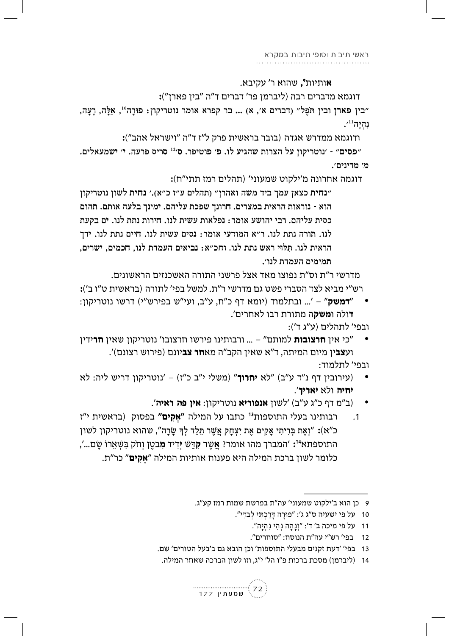**א**ותיות*°,* שהוא ר' עקיבא.

דוגמא מדברים רבה (ליברמן פר' דברים ד"ה "בין פארן"):

״בין פארן ובין תּפֵל״ (דברים א׳, א) ... בר קפרא אומר נוטריקון: פּוּרָה", אַלֵּה, רָעֲה,  $\cdot$ נהיה  $\cdot$ 

ודוגמא ממדרש אגדה (בובר בראשית פרק ל"ז ד"ה "וישראל אהב"):

"פסים" - 'נוטריקון על הצרות שהגיע לו. פ' פוטיפר. ס<sup>,21</sup> סריס פרעה. י' ישמעאלים. מ׳ מדינים׳.

דוגמה אחרונה מ׳ילקוט שמעוני׳ (תהלים רמז תתי״ח):

"נחית כצאן עמך ביד משה ואהרן" (תהלים ע"ז כ"א).' נחית לשון נוטריקון הוא - נוראות הראית במצרים. חרונך שפכת עליהם. ימינך בלעה אותם. תהום כסית עליהם. רבי יהושע אומר: נפלאות עשית לנו. חירות נתת לנו. ים בקעת לנו. תורה נתת לנו. ר״א המודעי אומר: נסים עשית לנו. חיים נתת לנו. ידך הראית לנו. תּלוּי ראש נתת לנו. וחכ״א: נביאים העמדת לנו. חכמים. ישרים. תמימים העמדת לנו׳.

מדרשי ר״ת וס״ת נפוצו מאד אצל פרשני התורה האשכנזים הראשונים. רש"י מביא לצד הסברי פשט גם מדרשי ר"ת. למשל בפי' לתורה (בראשית ט"ו ב'):

- :ד**משק**" '... ובתלמוד (יומא דף כ"ח, ע"ב, ועי"ש בפירש"י) דרשו נוטריקון " **ד**ולה ו**משק**ה מתורת רבו לאחרים'. ובפי' לתהלים (ע"ג ד'):
- כי אין **חרצובות** למותם" ... ורבותינו פירשו חרצובו' נוטריקון שאין **חר**ידין" וע**צב**ין מיום המיתה, ד"א שאין הקב"ה מא**חר צב**יונם (פירוש רצונם)'.

ובפי' לתלמוד:

- (עירובין דף נ"ד ע"ב) "לא יחרוך" (משלי י"ב כ"ז) 'נוטריקון דריש ליה: לא יחיה ולא יאריך'.
	- (ב"מ דף כ"ג ע"ב) 'לשון אנפוריא נוטריקון: אין פה ראיה'.
- רבותינו בעלי התוספות<sup>13</sup> כתבו על המילה "אַקים" בפסוק (בראשית י"ז  $\cdot$ 1 כ"א): "וָאֶת בְּרִיתִי אָקִים אֶת יִצְחָק אֲשֶׁר תֵּלֵד לְךָּ שָׂרָה", שהוא נוטריקון לשון התוספתא<sup>14</sup>: 'המברך מהו אומר? אֲשֶׁר **קִ**דַּשׁ יִדְיד **מִ**בטֵן וְחֹק בִּשְׁאֵרוֹ שָׂם...', כלומר לשון ברכת המילה היא פענוח אותיות המילה "**אקים**" כר"ת.

- 10 על פי ישעיה ס״ג ג׳: ״פּוּרַה דַּרַכְתִּי לְבַדִּי״.
	- 11 על פי מיכה ב' ד': "וְנַהֲה נְהָי נְהְיֵה".
	- 12 בפי' רש"י עה"ת הנוסח: "סוחרים".
- 13 בפי' 'דעת זקנים מבעלי התוספות' וכן הובא גם ב'בעל הטורים' שם.
	- 14 (ליברמן) מסכת ברכות פ"ו הל' י"ג, וזו לשון הברכה שאחר המילה.



<sup>9</sup> כן הוא ב'ילקוט שמעוני' עה"ת בפרשת שמות רמז קע"ג.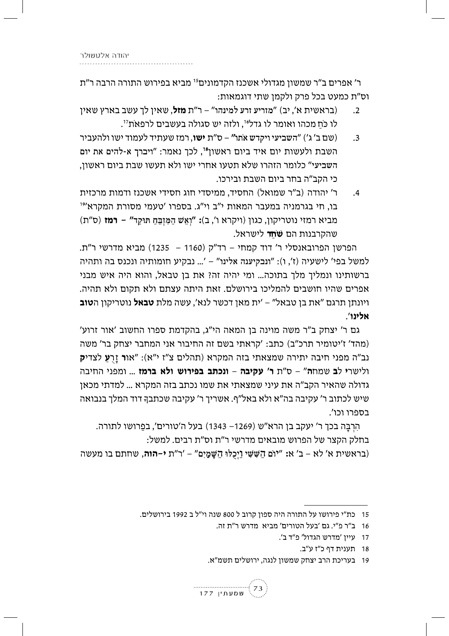ר' אפרים ב"ר שמשון מגדולי אשכנז הקדמונים<sup>15</sup> מביא בפירוש התורה הרבה ר"ת וס״ת כמעט בכל פרק ולקמן שתי דוגמאות:

- (בראשית א', יב) "מזריע זרע למינהו" ר"ת **מזל**, שאין לך עשב בארץ שאין)  $\cdot$ .2 לו כֹּח מכהו ואומר לו גדליּ', ולזה יש סגולה בעשבים לרפאת<sup>זו</sup>.
- (שם ב' ג') "השביעי ויקדש אתו" ס"ת **ישו**, רמז שעתיד לעמוד ישו ולהעביר  $\cdot$ 3 השבת ולעשות יום איד ביום ראשון<sup>18</sup>, לכך נאמר: "ויברך א-להים את יום השביעי" כלומר הזהרו שלא תטעו אחרי ישו ולא תעשו שבת ביום ראשון, כי הקב"ה בחר ביום השבת ובירכו.
- ר' יהודה (ב"ר שמואל) החסיד, ממיסדי חוג חסידי אשכנז ודמות מרכזית  $\cdot$ 4 בו, חי בגרמניה במעבר המאות י"ב וי"ג. בספרו 'טעמי מסורת המקרא'<sup>19</sup> מביא רמזי נוטריקון, כגון (ויקרא ו', ב): "וְאֵשׁ הַמֵּזְבֵּחַ תּוּקַד" **- רמז** (ס"ת) שהקרבנות הם **שֹחד** לישראל.

הפרשן הפרובאנסלי ר' דוד קמחי – רד"ק (1160 – 1235) מביא מדרשי ר"ת. למשל בפי' לישעיה (ז', ו): "ונבקיענה אלינו" – '... נבקיע חומותיה ונכנס בה ותהיה ברשותינו ונמליך מלך בתוכה... ומי יהיה זה? את בן טבאל, והוא היה איש מבני אפרים שהיו חושבים להמליכו בירושלם. זאת היתה עצתם ולא תקום ולא תהיה. ויונתו תרגם "את בו טבאל" – 'ית מאו דכשר לנא'. עשה מלת **טבאל** נוטריקוו ה**טוב** אלינו'.

גם ר' יצחק ב"ר משה מוינה בן המאה הי"ג, בהקדמת ספרו החשוב 'אור זרוע' (מהד' ז'יטומיר תרכ"ב) כתב: 'קראתי בשם זה החיבור אני המחבר יצחק בר' משה נב"ה מפני חיבה יתירה שמצאתי בזה המקרא (תהלים צ"ז י"א): "או**ר** זר**ע** לצדי**ק** ולישרי לב שמחה" - ס"ת ר' עקיבה - ונכתב בפירוש ולא ברמז ... ומפני החיבה גדולה שהאיר הקב"ה את עיני שמצאתי את שמו נכתב בזה המקרא ... למדתי מכאן שיש לכתוב ר' עקיבה בה"א ולא באל"ף. אשריך ר' עקיבה שכתבך דוד המלך בנבואה בספרו וכו'.

הרבה בכך ר' יעקב בן הרא"ש (1269– 1343) בעל ה'טורים', בפרושו לתורה. בחלק הקצר של הפרוש מובאים מדרשי ר"ת וס"ת רבים. למשל:

(בראשית א' לא – ב' א: "יוֹם הֹשֵּׁשֵׁי וַיְכַלּוּ הֹשֵׁמַיִם" – 'ר"ת **י–הוה**, שחתם בו מעשה

<sup>19 –</sup> בעריכת הרב יצחק שמשוז לנגה, ירושלים תשמ"א.



<sup>15</sup> כת"י פירושו על התורה היה ספון קרוב ל 800 שנה וי"ל ב 1992 בירושלים.

<sup>16 –</sup> ב"ר פ"י. גם 'בעל הטורים' מביא - מדרש ר"ת זה.

<sup>17</sup> עיין 'מדרש הגדול' פ"ד ב'.

<sup>18</sup> תענית דף כ"ז ע"ב.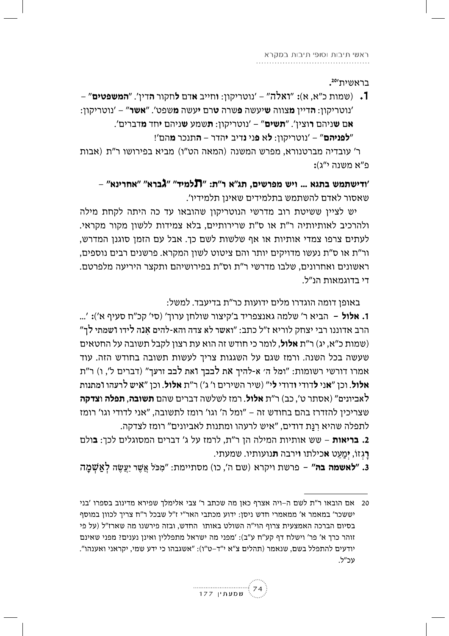בראשית'20

1. (שמות כ"א, א): "ואלה" – 'נוטריקון: **ו**חייב אדם לחקור **ה**דין'. "**המשפטים**" – 'נוטריקון: **ה**דיין **מ**צווה **ש**יעשה **פ**שרה **ט**רם **י**עשה **מ**שפט'. "**אשר**" – 'נוטריקון: **אם ש**ניהם **ר**וצין'. "**תשים**" – 'נוטריקון: **ת**שמע **ש**ניהם **י**חד **מ**דברים'. "**לפניהם**" – 'נוטריקון: **ל**א פני נדיב יהדר – **ה**תנכר מהם'!

ר' עובדיה מברטנורא, מפרש המשנה (המאה הט"ו) מביא בפירושו ר"ת (אבות  $:$ פ״א משנה י״ג

- "ודישתמש בתגא ... ויש מפרשים. תג"א ר"ת: "תלמיד" "גברא" "אחרינא' שאסור לאדם להשתמש בתלמידים שאינן תלמידיו'.

יש לציין ששיטת רוב מדרשי הנוטריקון שהובאו עד כה היתה לקחת מילה ולהרכיב לאותיותיה ר"ת או ס"ת שרירותיים, בלא צמידות ללשון מקור מקראי. לעתים צרפו צמדי אותיות או אף שלשות לשם כך. אבל עם הזמן סוגנן המדרש, ור"ת או ס"ת נעשו מדויקים יותר והם ציטוט לשון המקרא. פרשנים רבים נוספים, ראשונים ואחרונים, שלבו מדרשי ר"ת וס"ת בפירושיהם ותקצר היריעה מלפרטם. די רדוגמאות הו"ל.

באופו דומה הוגדרו מלים ידועות כר"ת בדיעבד. למשל:

**1. אלול** – הביא ר' שלמה גאנצפריד ב'קיצור שולחן ערוך' (סי' קכ"ח סעיף א'): '... הרב אדוננו רבי יצחק לוריא ז״ל כתב: ״ואשר לא צדה והא-להים אנה לידו ושמתי לך״ (שמות כ"א, יג) ר"ת **אלול**, לומר כי חודש זה הוא עת רצון לקבל תשובה על החטאים שעשה בכל השנה. ורמז שגם על השגגות צריך לעשות תשובה בחודש הזה. עוד אמרו דורשי רשומות: "ומל ה' א-להיך את לבבך ואת לבב זרעך" (דברים ל', ו) ר"ת אלול. וכן "אני לדודי ודודי לי" (שיר השירים ו' ג') ר"ת אלול. וכן "איש לרעהו ומתנות לאביונים" (אסתר ט', כב) ר"ת **אלול**. רמז לשלשה דברים שהם **תשובה, תפלה וצדקה** שצריכין להזדרז בהם בחודש זה – "ומל ה' וגו' רומז לתשובה, "אני לדודי וגו' רומז לתפלה שהיא רנת דודים, "איש לרעהו ומתנות לאביונים" רומז לצדקה.

2**. בריאות** – שש אותיות המילה הן ר"ת, לרמז על ג' דברים המסוגלים לכך: **ב**ולם רגזוֹ, **י**מעט **א**כילתו **ו**ירבה **ת**נועותיו. שמעתי.

3. "**לאשמה בה"** – פרשת ויקרא (שם ה', כו) מסתיימת: "מכּל אשר יעשה לאשמה

<sup>20</sup> אם הובאו ר"ת לשם ה–ויה אצרף כאן מה שכתב ר' צבי אלימלך שפירא מדינוב בספרו 'בני יששכר' במאמר א' ממאמרי חדש ניסן: ידוע מכתבי האר"י ז"ל שבכל ר"ח צריך לכוון במוסף בסיום הברכה האמצעית צרוף הוי"ה השולט באותו החדש, ובזה פירשנו מה שארז"ל (על פי זוהר כרך א' פר' וישלח דף קע"ח ע"ב): 'מפני מה ישראל מתפללין ואינן נענים? מפני שאינם יודעים להתפלל בשם, שנאמר (תהלים צ"א י"ד-ט"ו): "אשגבהו כי ידע שמי, יקראני ואענהו". עכ״ל.

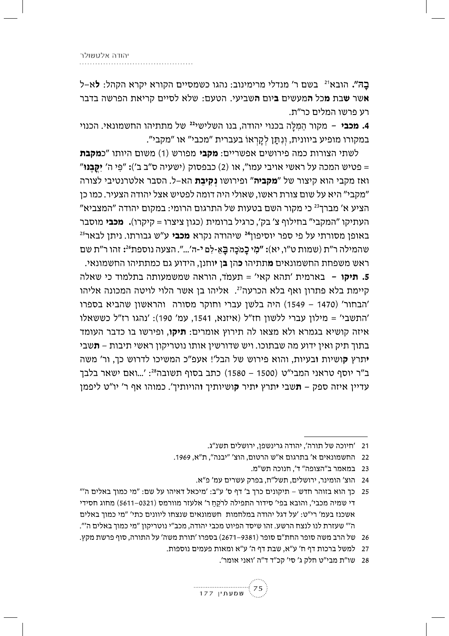בַה". הובא<sup>ו2</sup> בשם ר' מנדלי מרימינוב: נהגו כשמסיים הקורא יקרא הקהל: **ל**א–ל אשר **ש**בת **מ**כל **ה**מעשים **ב**יום **ה**שביעי. הטעם: שלא לסיים קריאת הפרשה בדבר רע פרשו המלים כר״ת.

4**. מכבי** – מקור המלה בכנוי יהודה, בנו השלישי<sup>22</sup> של מתתיהו החשמונאי. הכנוי במקורו מופיע ביוונית, וְנְתַּן לְקַרְאוֹ בעברית "מכבי" או "מקבי".

לשתי הצורות כמה פירושים אפשריים: **מקבי** מפורש (1) משום היותו "כ**מקבת** פטיש המכה על ראשי אויבי עמו", או (2) כבפסוק (ישעיה ס"ב ב'): "פּי ה' **יקבּנּוּ**" = ואז מקבי הוא קיצור של "**מקביה**" ופירושו **נקיבת** הא–ל. הסבר אלטרנטיבי לצורה "מקבי" היא על שום צורת ראשו, שאולי היה דומה לפטיש אצל יהודה הצעיר. כמו כן הציע א' מברך<sup>23</sup> כי מקור השם בטעות של התרגום הרומי: במקום יהודה "המצביא" העתיקו "המקבי" בחילוף צ' בק', כרגיל ברומית (כגון ציצרו = קיקרו)**. מכבי** מוסבר באופו מסורתי על פי ספר יוסיפוו<sup>24</sup> שיהודה נקרא **מכבי** ע״ש גבורתו. ניתו לבאר<sup>25</sup> שהמילה ר"ת (שמות ט"ו, יא): "מִי כַמֹּכָה בַּאֲ-לְם י-ה'...". הצעה נוספת24 זהו ר"ת שם ראש משפחת החשמונאים **מ**תתיהו **כ**הן **ב**ן **י**וחנן, הידוע גם כמתתיהו החשמונאי. **5. תיקו** – בארמית 'תהא קאי' = תעמד, הוראה שמשמעותה בתלמוד כי שאלה קיימת בלא פתרון ואף בלא הכרעה<sup>27</sup>. אליהו בן אשר הלוי לויטה המכונה אליהו 'הבחור' (1470 – 1549) היה בלשן עברי וחוקר מסורה והראשון שהביא בספרו 'התשבי' = מילון עברי ללשון חז"ל (איזנא, 1541, עמ' 190): 'נהגו רז"ל כששאלו איזה קושיא בגמרא ולא מצאו לה תירוץ אומרים: **תיקו**, ופירשו בו כדבר העומד בתוך תיק ואין ידוע מה שבתוכו. ויש שדורשין אותו נוטריקון ראשי תיבות – **ת**שבי **י**תרץ **ק**ושיות **ו**בעיות, והוא פירוש של הבל'! אעפ"כ המשיכו לדרוש כך, ור' משה

ב״ר יוסף טראני המבי״ט (1500 – 1580) כתב בסוף תשובה<sup>28</sup>: '...ואם ישאר בלבך עדיין איזה ספק – **ת**שבי **י**תרץ **י**תיר **ק**ושיותיך **ו**הויותיך'. כמוהו אף ר' יו"ט ליפמן

<sup>28</sup> שו"ת מבי"ט חלק ג' סי' קכ"ד ד"ה 'ואני אומר'.



<sup>21 | &#</sup>x27;חיוכה של תורה', יהודה גרינשפן, ירושלים תשנ"ג.

<sup>22</sup> החשמונאים א' בתרגום א"ש הרטום, הוצ' "יבנה", ת"א, 1969.

<sup>23 –</sup> במאמר ב"הצופה" ד'. חנוכה תש"מ.

<sup>24</sup> הוצ' הומינר, ירושלים, תשל"ח, בפרק עשרים עמ' פ"א.

כך הוא בזוהר חדש – תיקונים כרך ב' דף ס' ע"ב: 'מיכאל דאיהו על שם: "מי כמוך באלים ה'" 25 די שמיה מכבי', והובא בפי' סידור התפילה לרקח ר' אלעזר מוורמס (5611–6511) מחוג חסידי אשכנז בעמ׳ רי״ט: ׳על דגל יהודה במלחמות חשמונאים שנצחו ליוונים כתי׳ ״מי כמוך באלים ה'" שעזרת לנו לנצח הרשע. זהו שיסד הפיוט מכבי יהודה, מכב"י נוטריקון "מי כמוך באלים ה'".

<sup>26</sup> של הרב משה סופר החת"ם סופר (9381–2671) בספרו 'תורת משה' על התורה, סוף פרשת מקץ.

<sup>27</sup> למשל ברכות דף ח' ע"א, שבת דף ה' ע"א ומאות פעמים נוספות.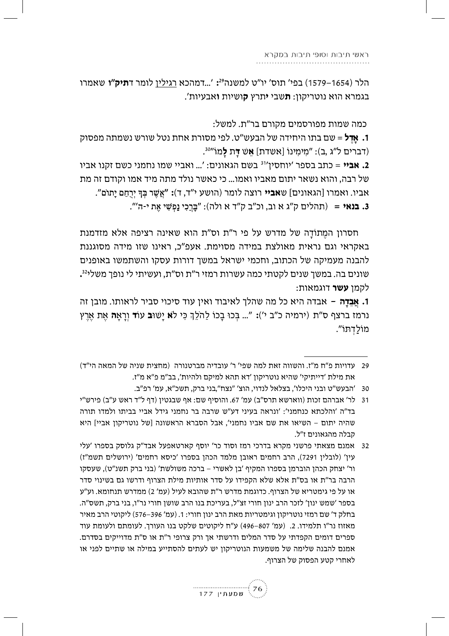הלר (1554–1579) בפי' תוס' יו"ט למשנה<sup>29</sup>: '...דמהכא רגילין לומר ד**תיק"ו** שאמרו בגמרא הוא נוטריקון: **ת**שבי **י**תרץ **ק**ושיות **ו**אבעיות'.

כמה שמות מפורסמים מקורם בר״ת. למשל:

**1. אֵדֵל** = שם בתו היחידה של הבעש״ט. לפי מסורת אחת נטל שורש נשמתה מפסוק (דברים ל"ג ,ב): "מְימִינוֹ [אשדת] אֵשׁ דַּת לַמוֹ"<sup>30</sup>.

**2. אביי** = כתב בספר 'יוחסין'<sup>31</sup> בשם הגאונים: '... ואביי שמו נחמני כשם זקנו אביו של רבה, והוא נשאר יתום מאביו ואמו... כי כאשר נולד מתה מיד אמו וקודם זה מת אביו. ואמרו [הגאונים] ש**אביי** רוצה לומר (הושע י"ד, ד): "אֲשֶׁר בִּךְ יִרְחַם יַתוֹם". 3**. בנאי** = (תהלים ק"ג א וב, וכ"ב ק"ד א ולה): "בַּרֵכִי נַפְשִׁי אֶת י-ה'".

חסרון המֳתוֹדָה של מדרש על פי ר"ת וס"ת הוא שאינה רציפה אלא מזדמנת באקראי וגם נראית מאולצת במידה מסוימת. אעפ״כ, ראינו שזו מידה מסוגננת להבנה מעמיקה של הכתוב, וחכמי ישראל במשך דורות עסקו והשתמשו באופנים שונים בה. במשך שנים לקטתי כמה עשרות רמזי ר"ת וס"ת, ועשיתי לי נופך משלי<sup>32</sup>. לקמו **עשר** דוגמאות:

**1. אבדה** – אבדה היא כל מה שהלך לאיבוד ואין עוד סיכוי סביר לראותו. מובן זה נרמז ברצף ס״ת (ירמיה כ״ב י׳): ״... בְּכוּ בָכוֹ לַהֹלֵךְ כִּי לֹא יָשׁוּ**ב** עוֹד וְרָאָ**ה** אֵת אֵרֵץ מוֹלדתּוֹ״.

<sup>32</sup> אמנם מצאתי פרשני מקרא בדרכי רמז וסוד כר' יוסף קארטאפעל אבד"ק גלוסק בספרו 'עלי עין' (לובלין 7291), הרב רחמים ראובן מלמד הכהן בספרו 'כיסא רחמים' (ירושלים תשמ"ז) ור' יצחק הכהן הוברמן בספרו המקיף 'בן לאשרי – ברכה משולשת' (בני ברק תשנ"ט), שעסקו הרבה בר"ת או בס"ת אלא שלא הקפידו על סדר אותיות מילת הצרוף ודרשו גם בשינוי סדר או על פי גימטריא של הצרוף. כדוגמת מדרש ר"ת שהובא לעיל (עמ' 2) ממדרש תנחומא. וע"ע בספר ׳שמש ינון׳ לזכר הרב ינון חורי זצ״ל, בעריכת בנו הרב שושן חורי נר״ו, בני ברק, תשס״ה. בחלק ד' שם רמזי נוטריקון וגימטריות מאת הרב ינון חורי: 1. (עמ' 396–576) ליקוטי הרב מאיר מאזוז נר"ו תלמידו. 2. (עמ' 807–496) ע"ח ליקוטים שלקט בנו העורך. לעומתם ולעומת עוד ספרים דומים הקפדתי על סדר המלים ודרשתי אך ורק צרופי ר"ת או ס"ת מדוייקים בסדרם. אמנם להבנה שלימה של משמעות הנוטריקון יש לעתים להסתייע במילה או שתיים לפני או לאחרי קטע הפסוק של הצרוף.



עדויות פ"ח מ"ז. והשווה זאת למה שפי' ר' עובדיה מברטנורה (מחצית שניה של המאה הי"ד) 29 את מילת 'דייתיקי' שהיא נוטריקון 'דא תהא למיקם ולהיות', בב"מ פ"א מ"ז.

<sup>30 &#</sup>x27;הבעש"ט ובני היכלו', בצלאל לנדוי, הוצ' "נצח",בני ברק, תשכ"א, עמ' רפ"ב.

<sup>31 -</sup> לר' אברהם זכות (ווארשא תרס"ב) עמ' 67. והוסיף שם: אף שבגטין (דף ל"ד ראש ע"ב) פירש"י בד"ה 'והלכתא כנחמני': 'ונראה בעיני דע"ש שרבה בר נחמני גידל אביי בביתו ולמדו תורה שהיה יתום - השיאו את שם אביו נחמני', אבל הסברא הראשונה [של נוטריקון אביי] היא קבלה מהגאונים ז״ל.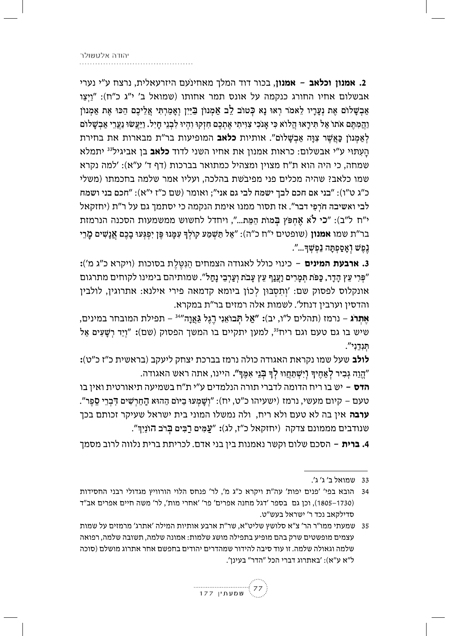2. אמנון וכלאב - אמנון, בכור דוד המלך מאחינעם היזרעאלית, נרצח ע"י נערי אבשלום אחיו החורג כנקמה על אונס תמר אחותו (שמואל ב' י"ג כ"ח): "ויצו אַבְשָׁלוֹם אֶת נְעֲרָיו לֵאמֹר רְאוּ נָא כְּטוֹב לֵב אֲמְנוֹן בְּיַיִן וְאָמַרְתִּי אֲלֵיכֶם הַכּוּ אֶת אַמְנוֹן וַהֲמְתֵּם אֹתוֹ אֲל תִּירַאוּ הֲלוֹא כִּי אֲנֹכִי צְוִיתִי אֶתְכֶם חָזְקוּ וָהִיוּ לְבְנֵי חָיָל. וַיַּעֲשׂוּ נַעֲרֵי אֲבְשֵׁלוֹם לְאַמְנוֹן כַּאֲשֶׁר צְוַּה אֲבִשָּׁלוֹם". אותיות **כלאב** המופיעות בר"ת מבארות את בחירת הַעְתּוּי ע"י אבשלום: כראות אמנון את אחיו השני לדוד **כלאב** בן אביגיל<sup>33</sup> יתמלא שמחה, כי היה הוא ת"ח מצוין ומצהיל כמתואר בברכות (דף ד' ע"א): 'למה נקרא שמו כלאב? שהיה מכלים פני מפיבשת בהלכה, ועליו אמר שלמה בחכמתו (משלי כ"ג ט"ו): "בני אם חכם לבך ישמח לבי גם אני"; ואומר (שם כ"ז י"א): "חכם בני ושמח לבי ואשיבה חֹרִפִּי דבר". אז תסור ממנו אימת הנקמה כי יסתמך גם על ר"ת (יחזקאל י"ח ל"ב): "כי לֹא אֶחִפּץ בְּמוֹת הַמֶּת...", ויחדל לחשוש ממשמעות הסכנה הנרמזת בר"ת שמו **אמנון** (שופטים י"ח כ"ה): "אַל תַּשְׁמַע קוֹלְךָ עִמָּנוּ פֶּן יִפְגְּעוּ בָכֶם <mark>אֲנָשִׁים מ</mark>ָרֵי נֶפֶשׁ וְאָסַפְתָּה נַפְשְׁךָ...".

3**. ארבעת המינים** – כינוי כולל לאגודה הצמחים הַנְטֵלֵת בסוכות (ויקרא כ"ג מ'): "פִּרִי עֵץ הָדָר, כַּפֹּת תִּמָרִים וַעֲנַף עֵץ עָבֹת וְעַרְבֵי נָחַל". שמותיהם בימינו לקוחים מתרגום אונקלוס לפסוק שם: 'וְתִסְבּוּן לְכוֹן ביומא קדמאה פירי אילנא: אתרוגין, לולבין והדסין וערבין דנחל'. לשמות אלה רמזים בר"ת במקרא.

<mark>אַתִרג</mark> – נרמז (תהלים ל"ו, יב): "אַל תְּבוֹאֵנְי רֶגֶל גַּאֲוָה"<sup>34</sup> – תפילת המובחר במינים, שיש בו גם טעם וגם ריח<sup>35</sup>, למען יתקיים בו המשך הפסוק (שם): "וְיַד רְשָׁעִים אַל תנדני".

**לולב** שעל שמו נקראת האגודה כולה נרמז בברכת יצחק ליעקב (בראשית כ״ז כ״ט)**:** "הֱוֵה גְבִיר לְאַחֶיךְּ וָיִשְׁתַּחֲווּ לְךָּ בְּנֵי אִמֶּךְ". היינו, אתה ראש האגודה.

**הדס** – יש בו ריח הדומה לדברי תורה הנלמדים ע״י ת״ח בשמיעה תיאורטית ואין בו טעם – קיום מעשי, נרמז (ישעיהו כ"ט, יח): "וְשָׁמְעוּ בַיּוֹם הַהוּא הַחֵרְשִׁים דְּבְרֵי סֻפֵּר". **ערבה** אין בה לא טעם ולא ריח, ולה נמשלו המוני בית ישראל שעיקר זכותם בכך שנודבים מממונם צדקה (יחזקאל כ"ז, לג): "עַמִּים רַבְּים בָּרֹב הוֹנַיִךְ".

4**. ברית** – הסכם שלום וקשר נאמנות בין בני אדם. לכריתת ברית נלווה לרוב מסמך

35 – שמעתי ממו"ר הר' צ"א סלושץ שליט"א, שר"ת ארבע אותיות המילה 'אתרג' מרמזים על שמות עצמים מופשטים שרק בהם מופיע בתפילה מושג שלמות: אמונה שלמה, תשובה שלמה, רפואה שלמה וגאולה שלמה. זו עוד סיבה להידור שמהדרים יהודים בחפשם אחר אתרוג מושלם (סוכה ל"א ע"א): 'באתרוג דברי הכל "הדר" בעינן'.



<sup>33</sup> שמואל ב' ג' ג'.

הובא בפי׳ 'פנים יפות' עה"ת ויקרא כ"ג מ', לר' פנחס הלוי הורוויץ מגדולי רבני החסידות (1730–1805), וכן גם בספר 'דגל מחנה אפרים' פר' 'אחרי מות', לר' משה חיים אפרים אב"ד סדילקאב נכד ר' ישראל בעש"ט.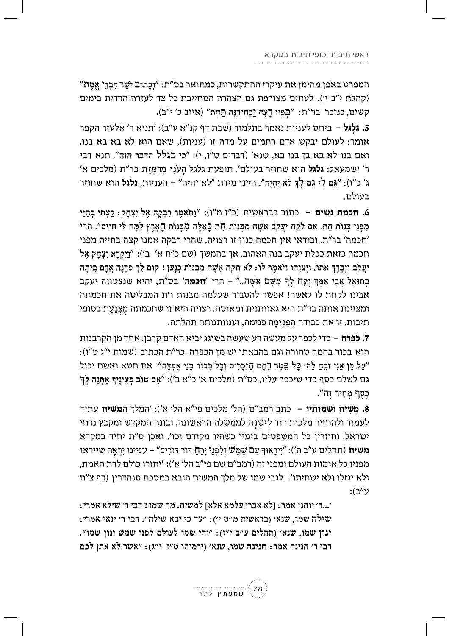המפרט באפן מהימן את עיקרי ההתקשרות, כמתואר בס״ת: ״וְכַתוּב יֹשֵׁר דִּבְרֵי אֱמֶת״ (קהלת י"ב י'). לעתים מצורפת גם הצהרה המחייבת כל צד לעזרה הדדית בימים קשים, כנזכר בר"ת: "בְּפִיוּ רַעֲה יַכְחִידֶנָּה תַּחַת" (איוב כ' י"ב).

5. גלגל – ביחס לעניות נאמר בתלמוד (שבת דף קנ"א ע"ב): 'תניא ר' אלעזר הקפר אומר: לעולם יבקש אדם רחמים על מדה זו (עניות), שאם הוא לא בא בא בנו, ואם בנו לא בא בן בנו בא, שנא׳ (דברים ט״ו, י): ״כי **בגלל** הדבר הזה״. תנא דבי ר׳ ישמעאל: **גלגל** הוא שחוזר בעולם׳. תופעת גלגל הענִי מַרְמֵזֶת בר״ת (מלכים א׳ ג' כ"ו): "גַּם לִי גַם לַךְ לֹא יְהָיֵה". היינו מידת "לא יהיה" = העניות, **גלגל** הוא שחוזר בעולם.

6. חכמת נשים – כתוב בבראשית (כ"ז מ"ו): "וַתֹּאמֶר רִבְקָה אֱל יִצְחֲק: קַצְתְּי בְחַיַּי מִפְּנֵי בְּנוֹת חֵת. אִם לֹקֵחַ יַעֲקֹב אִשָּׁה מִבְּנוֹת חֶת כַּאֲלֵה מְבִּנוֹת הָאָרֵץ לַמֶּה לִי חַיִּים". הרי 'חכמה' בר"ת, ובודאי אין חכמה כגון זו רצויה, שהרי רבקה אמנו קצה בחייה מפני חכמה כזאת ככלת יעקב בנה האהוב. אך בהמשך (שם כ"ח א'–ב'): "וַיַּקְרָא יִצְחַק אֱל יַעֲקֹב וַיִּבַרֶךְ אֹתוֹ, וַיִּצַוְּהוּ וַיֹּאמֶר לוֹ: לֹא תִקַּח אִשָּׁה מִבְּנוֹת כְּנַעֲן ! קוּם לֵךְ פַּדֵּנָה אֲרַם בֵּיתַה בְתוּאֵל אֲבִי אִמֵּךְ וָקַח לְךְּ מְשֵׁם אִשָּׁה.." – הרי 'חכמה' בס"ת, והיא שנצטווה יעקב אבינו לקחת לו לאשה! אפשר להסביר שעלמה מבנות חת המבליטה את חכמתה ומציינת אותה בר"ת היא גאוותנית ומאוסה. רצויה היא זו שחכמתה מִצְנַעַת בסופי תיבות. זו את כבודה הִפְנִימָה פנימה, וענוותנותה תהלתה.

**7. כפרה** – כדי לכפר על מעשה רע שעשה בשוגג יביא האדם קרבן. אחד מן הקרבנות הוא בכור בהמה טהורה וגם בהבאתו יש מן הכפרה, כר"ת הכתוב (שמות י"ג ט"ו): ״עַל כֵּן אֲנִי זֹבֵחַ לַה׳ כַּל פֵּטֵר רֶחֶם הַזְּכָרִים וְכָל בְּכוֹר בָּנֵי אֵפְדֵּה״. אם חטא ואשם יכול גם לשלם כסף כדי שיכפר עליו, כס"ת (מלכים א' כ"א ב'): "אם טוב בִּעֵינֵיךָ אֵתְּנַה לִךְ כֵסֵף מִחִיר זֶה".

8**. משיח ושמותיו** – כתב רמב"ם (הל' מלכים פי"א הל' א'): 'המלך ה**משיח** עתיד לעמוד ולהחזיר מלכות דוד לִיֹשִׁנַהּ לממשלה הראשונה, ובונה המקדש ומקבץ נדחי ישראל, וחוזרין כל המשפטים בימיו כשהיו מקודם וכו'. ואכן ס"ת יחיד במקרא **משיח** (תהלים ע״ב ה׳): ״יִירַאוּדִּ עָם שַׁמֲשׁ וַלְפְנֵי יַרֵח דּוֹר דּוֹרִים״ – עניינו יראה שייראו מפניו כל אומות העולם ומפני זה (רמב"ם שם פי"ב הל' א'): 'יחזרו כולם לדת האמת, ולא יגזלו ולא ישחיתו'. לגבי שמו של מלך המשיח הובא במסכת סנהדרין (דף צ"ח :ע"ב

'...ר' יוחנן אמר: ןלא אברי עלמא אלא] למשיח. מה שמו ? דבי ר' שילא אמרי : : שילה שמו, שנא׳ (בראשית מ״ט י׳): "עד כי יבא שילה״. דבי ר׳ ינאי אמרי ינון שמו, שנא׳ (תהלים ע״ב י״ז): "יהי שמו לעולם לפני שמש ינון שמו". דבי ר׳ חנינה אמר: חנינה שמו, שנא׳ (ירמיהו ט״ז י״ג): "אשר לא אתן לכם

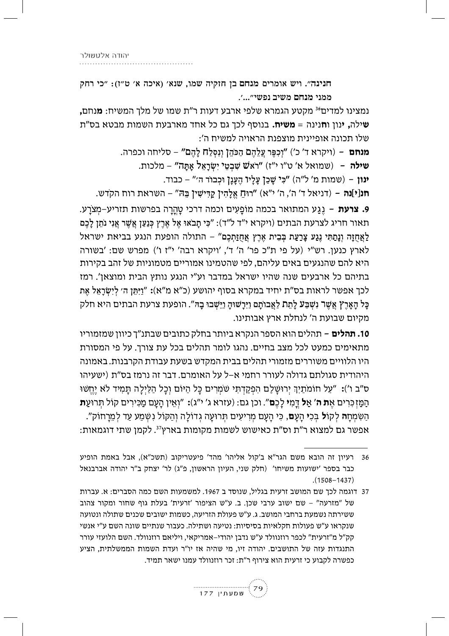ז". ויש אומרים מנחם בן חזקיה שמו, שנא' (איכה א' ט"ז): "כי רחק ממני מנחם משיב

חנינה". ויש אומרים מנחם בן חזק<br>ממני מנחם משיב נפשי"...'.<br>נמצינו למדים<sup>36</sup> מקטע הגמרא שלפי ארבע ד<br>**שילה, ינון וחנינה = משיח.** בנוסף לכך גם כ<br>שלו תכונה אופיינית מוצפנת הראויה למשיו<br>**מנחם** – (ויקרא ד' כ') "וְכִפֶּר עֲלֵהֶם ה נמצינו למדים<sup>36</sup> מקטע הגמרא שלפי ארבע דעות ר״ת שמו של מלך המשיח: **מ**נחם**,**  $\bm{w}$ שילה, ינון וחנינה $\bm{s} = \bm{w}$ שיח. בנוסף לכך גם כל אחד מארבעת השמות מבטא בס  $\cdot$ לו תכונה אופיינית מוצפנת הראויה למשיח ה':

**מנחם** – (ויקרא ד' כ') "יְכִפֶּר צֵלֵהֶם הַכּהֵן וְנִסְלַח לָהֶם" – סליחה וכפרה.<br>י

- ש**ילה** (שמואל א' ט"ו י"ז) "ראש שִׁבְטֵי יִשְׂרָאֵל אָתָּה" – מלכות.<br>האריך האריך האריך האריך האריך האריך האריך האריך האריך האריך האריך האריך האריך האריך האריך האריך האריך האריך הא

**ינון** – (שמות מ' ל"ה) "כִּי שָׁבַן עֲלָיו הֶעֲנָן וּכְבוֹד ה'" – כבוד.

.**חנ|י|נה** – (דניאל ד' ה', ה' י"א) "רוּחַ אֱלָהִין קַדִּישִׁין בֵּהּ" – השראת רוח הקדש

**9. צרעת** – נֵגַע המתואר בכמה מוֹפַעִים וכמה דרכי טַהֲרָה בפרשות תזריע–מְצֹרַע. תאור חריג לצרעת הבתים (ויקרא י״ד ל״ד): ״כִּי תָּבֹאוּ אֶל אֶרֶץ כְּנַעַּן אֲשֶׁר אֲנִי נֹתֵן לָכֶם ַלְאֲחֻזָּה וְנָמַתִּי נֶגַע צָרַעַת בְּבֵית אֶרֶץ אֲחֻזַּתְכֶם" – התולה הופעת הנגע בביאת ישראל לארץ כנען. רש"י (על פי ת"כ פר' ה' ד', 'ויקרא רבה' י"ז ו') מפרש שם: 'בשורה היא להם שהנגעים באים עליהם, לפי שהטמינו אמוריים מטמוניות של זהב בקירות בתיהם כל ארבעים שנה שהיו ישראל במדבר וע"י הנגע נותץ הבית ומוצאן'. רמז ככך אפשר כראות בס״ת יחיד במקרא בסוף יהושע (כ״א מ״א): ״וַיִּתֵּן ה׳ לְיִשְׁרָאֵל אֶת כָּל הָאָרֶץٚ אֲשֶׁר נִשְׁבַּעֹ לָחֵת לַאֲבוֹתָם וַיִּרְשׁוּהָ וַיֵּשְׁבוּ בָהּ". הופעת צרעת הבתים היא חלק מקיום שבועת ה' לנחלת ארץ אבותינו.

**10. תהלים** – תהלים הוא הספר הנקרא ביותר בחלק כתובים שבתנ"ך כיוון שמזמוריו מתאימים כמעט לכל מצב בחיים. נהגו לומר תהלים בכל עת צורך. על פי המסורת היו הלוויים משוררים מזמורי תהלים בבית המקדש בשעת עבודת הקרבנות. באמונה היהודית סגולתם גדולה לעורר רחמי א–ל על האומרם. דבר זה נרמז בס״ת (ישעיהו ס״ב ו׳): ״עַל חוֹמוֹתַיִךְ יְרוּשָׁלַם הִפְקַדְתִּי שֹׁמְרִים כָּל הַיּוֹם וְכָל הַלַּיְלָה תָּמִיד לֹא יֶחֱשׁוּ<br>הַמַּזְכִּרִים אֶ**ת ה׳ אַל** דְּמִ**י** לָכֶ**ם**״. וכן גם: (עזרא ג׳ י״ג): ״וְאֵין הָעָם מַכִּירִים קוֹל תְּרוּעַ :9 אפשר גם למצוא ר"ת וס"ת כאישוש לשמות מקומות בארץ<sup>37</sup>. לקמן שתי דוגמאות

<sup>37</sup> דוגמה לכך שם המושב זרעית בגליל, שנוסד ב 1967. למשמעות השם כמה הסברים: א. עברות של "מזרעה" - שם ישוב ערבי שכן. ב. ע"ש הציפור 'זרעית' בעלת גוף שחור ומקור צהוב ששירתה נשמעת ברחבי המושב. ג. ע"ש פעולת הזריעה, כשמות ישובים שכנים שתולה ונטועה שנקראו ע״ש פעולות חקלאיות בסיסיות: נטיעה ושתילה. כעבור שנתיים שונה השם ע״י אנשי קק"ל מ"זרעית" לכפר רוזנוולד ע"ש נדבן יהודי-אמריקאי, ויליאם רוזנוולד. השם הלועזי עורר התנגדות עזה של התושבים. יהודה זיו, מי שהיה אז יו"ר ועדת השמות הממשלתית, הציע כפשרה לקבוע כי זרעית הוא צירוף ר"ת: זכר רוזנוולד עמנו ישאר תמיד.



<sup>36</sup> רעיון זה הובא משם הגר"א ב'קול אליהו' מהד' פיעטריקוב (תשכ"א), אבל באמת הופיע (16 ביבר בספר 'ישועות משיחו' (חלק שני, העיון הראשון, פ"ג) לר' יצחק ב"ר יהודה אברבנאל  $(1508 - 1437)$